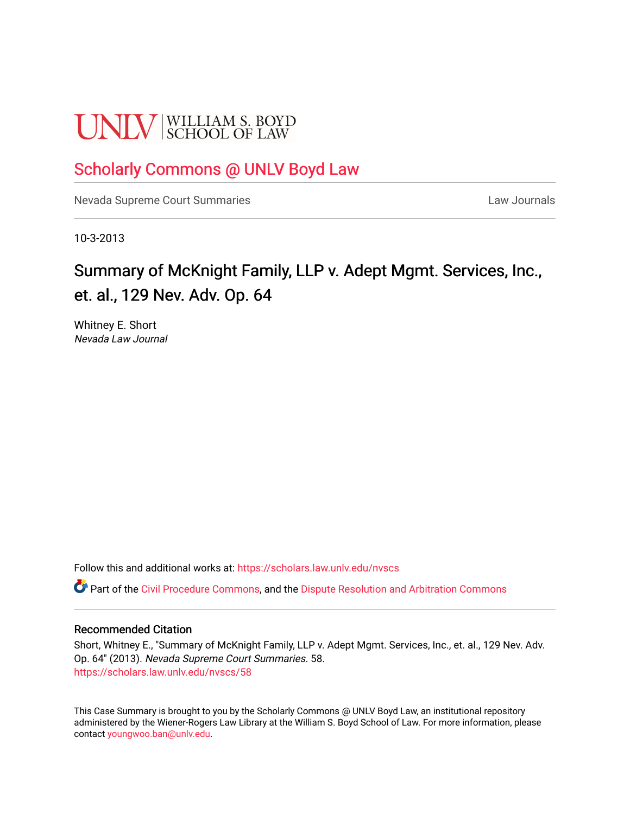# **UNLV** SCHOOL OF LAW

### [Scholarly Commons @ UNLV Boyd Law](https://scholars.law.unlv.edu/)

[Nevada Supreme Court Summaries](https://scholars.law.unlv.edu/nvscs) **Law Journals** Law Journals

10-3-2013

## Summary of McKnight Family, LLP v. Adept Mgmt. Services, Inc., et. al., 129 Nev. Adv. Op. 64

Whitney E. Short Nevada Law Journal

Follow this and additional works at: [https://scholars.law.unlv.edu/nvscs](https://scholars.law.unlv.edu/nvscs?utm_source=scholars.law.unlv.edu%2Fnvscs%2F58&utm_medium=PDF&utm_campaign=PDFCoverPages)

**P** Part of the [Civil Procedure Commons,](http://network.bepress.com/hgg/discipline/584?utm_source=scholars.law.unlv.edu%2Fnvscs%2F58&utm_medium=PDF&utm_campaign=PDFCoverPages) and the Dispute Resolution and Arbitration Commons

#### Recommended Citation

Short, Whitney E., "Summary of McKnight Family, LLP v. Adept Mgmt. Services, Inc., et. al., 129 Nev. Adv. Op. 64" (2013). Nevada Supreme Court Summaries. 58. [https://scholars.law.unlv.edu/nvscs/58](https://scholars.law.unlv.edu/nvscs/58?utm_source=scholars.law.unlv.edu%2Fnvscs%2F58&utm_medium=PDF&utm_campaign=PDFCoverPages) 

This Case Summary is brought to you by the Scholarly Commons @ UNLV Boyd Law, an institutional repository administered by the Wiener-Rogers Law Library at the William S. Boyd School of Law. For more information, please contact [youngwoo.ban@unlv.edu](mailto:youngwoo.ban@unlv.edu).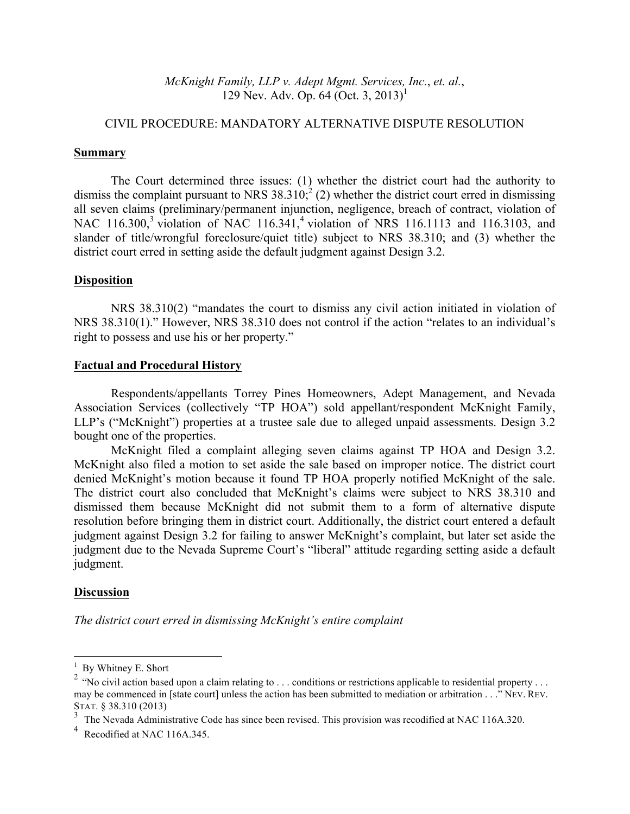*McKnight Family, LLP v. Adept Mgmt. Services, Inc.*, *et. al.*, 129 Nev. Adv. Op. 64 (Oct. 3, 2013)<sup>1</sup>

#### CIVIL PROCEDURE: MANDATORY ALTERNATIVE DISPUTE RESOLUTION

#### **Summary**

The Court determined three issues: (1) whether the district court had the authority to dismiss the complaint pursuant to NRS  $38.310$ ; (2) whether the district court erred in dismissing all seven claims (preliminary/permanent injunction, negligence, breach of contract, violation of NAC 116.300,<sup>3</sup> violation of NAC 116.341,<sup>4</sup> violation of NRS 116.1113 and 116.3103, and slander of title/wrongful foreclosure/quiet title) subject to NRS 38.310; and (3) whether the district court erred in setting aside the default judgment against Design 3.2.

#### **Disposition**

NRS 38.310(2) "mandates the court to dismiss any civil action initiated in violation of NRS 38.310(1)." However, NRS 38.310 does not control if the action "relates to an individual's right to possess and use his or her property."

#### **Factual and Procedural History**

Respondents/appellants Torrey Pines Homeowners, Adept Management, and Nevada Association Services (collectively "TP HOA") sold appellant/respondent McKnight Family, LLP's ("McKnight") properties at a trustee sale due to alleged unpaid assessments. Design 3.2 bought one of the properties.

McKnight filed a complaint alleging seven claims against TP HOA and Design 3.2. McKnight also filed a motion to set aside the sale based on improper notice. The district court denied McKnight's motion because it found TP HOA properly notified McKnight of the sale. The district court also concluded that McKnight's claims were subject to NRS 38.310 and dismissed them because McKnight did not submit them to a form of alternative dispute resolution before bringing them in district court. Additionally, the district court entered a default judgment against Design 3.2 for failing to answer McKnight's complaint, but later set aside the judgment due to the Nevada Supreme Court's "liberal" attitude regarding setting aside a default judgment.

#### **Discussion**

*The district court erred in dismissing McKnight's entire complaint*

 $1$  By Whitney E. Short

<sup>&</sup>lt;sup>2</sup> "No civil action based upon a claim relating to . . . conditions or restrictions applicable to residential property . . . may be commenced in [state court] unless the action has been submitted to mediation or arbitration . . ." NEV. REV. STAT. § 38.310 (2013)

<sup>&</sup>lt;sup>3</sup> The Nevada Administrative Code has since been revised. This provision was recodified at NAC 116A.320.

<sup>&</sup>lt;sup>4</sup> Recodified at NAC 116A.345.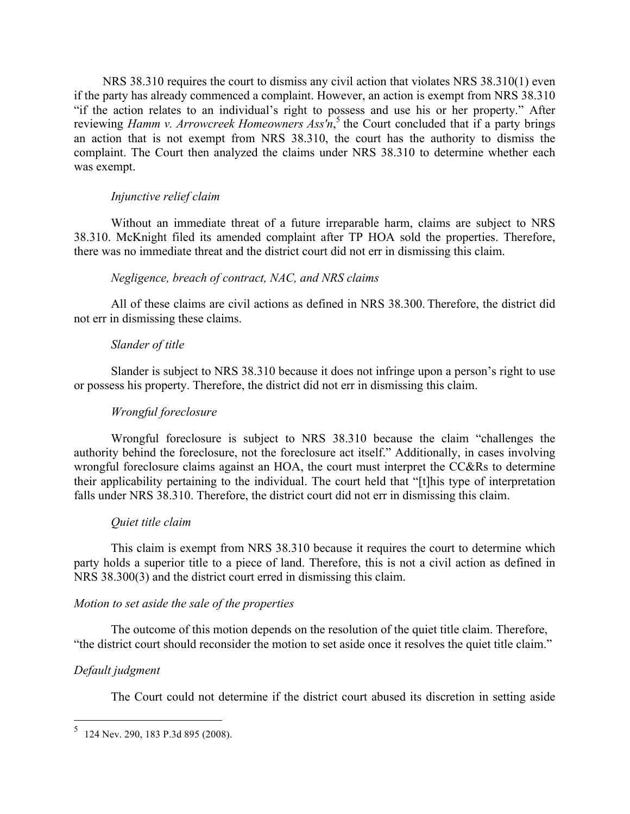NRS 38.310 requires the court to dismiss any civil action that violates NRS 38.310(1) even if the party has already commenced a complaint. However, an action is exempt from NRS 38.310 "if the action relates to an individual's right to possess and use his or her property." After reviewing *Hamm v. Arrowcreek Homeowners Ass'n*, <sup>5</sup> the Court concluded that if a party brings an action that is not exempt from NRS 38.310, the court has the authority to dismiss the complaint. The Court then analyzed the claims under NRS 38.310 to determine whether each was exempt.

#### *Injunctive relief claim*

Without an immediate threat of a future irreparable harm, claims are subject to NRS 38.310. McKnight filed its amended complaint after TP HOA sold the properties. Therefore, there was no immediate threat and the district court did not err in dismissing this claim.

#### *Negligence, breach of contract, NAC, and NRS claims*

All of these claims are civil actions as defined in NRS 38.300. Therefore, the district did not err in dismissing these claims.

#### *Slander of title*

Slander is subject to NRS 38.310 because it does not infringe upon a person's right to use or possess his property. Therefore, the district did not err in dismissing this claim.

#### *Wrongful foreclosure*

Wrongful foreclosure is subject to NRS 38.310 because the claim "challenges the authority behind the foreclosure, not the foreclosure act itself." Additionally, in cases involving wrongful foreclosure claims against an HOA, the court must interpret the CC&Rs to determine their applicability pertaining to the individual. The court held that "[t]his type of interpretation falls under NRS 38.310. Therefore, the district court did not err in dismissing this claim.

#### *Quiet title claim*

This claim is exempt from NRS 38.310 because it requires the court to determine which party holds a superior title to a piece of land. Therefore, this is not a civil action as defined in NRS 38.300(3) and the district court erred in dismissing this claim.

#### *Motion to set aside the sale of the properties*

The outcome of this motion depends on the resolution of the quiet title claim. Therefore, "the district court should reconsider the motion to set aside once it resolves the quiet title claim."

#### *Default judgment*

The Court could not determine if the district court abused its discretion in setting aside

 <sup>5</sup> 124 Nev. 290, 183 P.3d 895 (2008).